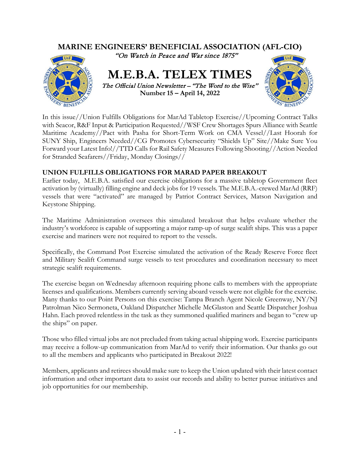

In this issue//Union Fulfills Obligations for MarAd Tabletop Exercise//Upcoming Contract Talks with Seacor, R&F Input & Participation Requested//WSF Crew Shortages Spurs Alliance with Seattle Maritime Academy//Pact with Pasha for Short-Term Work on CMA Vessel//Last Hoorah for SUNY Ship, Engineers Needed//CG Promotes Cybersecurity "Shields Up" Site//Make Sure You Forward your Latest Info!//TTD Calls for Rail Safety Measures Following Shooting//Action Needed for Stranded Seafarers//Friday, Monday Closings//

# **UNION FULFILLS OBLIGATIONS FOR MARAD PAPER BREAKOUT**

Earlier today, M.E.B.A. satisfied our exercise obligations for a massive tabletop Government fleet activation by (virtually) filling engine and deck jobs for 19 vessels. The M.E.B.A.-crewed MarAd (RRF) vessels that were "activated" are managed by Patriot Contract Services, Matson Navigation and Keystone Shipping.

The Maritime Administration oversees this simulated breakout that helps evaluate whether the industry's workforce is capable of supporting a major ramp-up of surge sealift ships. This was a paper exercise and mariners were not required to report to the vessels.

Specifically, the Command Post Exercise simulated the activation of the Ready Reserve Force fleet and Military Sealift Command surge vessels to test procedures and coordination necessary to meet strategic sealift requirements.

The exercise began on Wednesday afternoon requiring phone calls to members with the appropriate licenses and qualifications. Members currently serving aboard vessels were not eligible for the exercise. Many thanks to our Point Persons on this exercise: Tampa Branch Agent Nicole Greenway, NY/NJ Patrolman Nico Sermoneta, Oakland Dispatcher Michelle McGlaston and Seattle Dispatcher Joshua Hahn. Each proved relentless in the task as they summoned qualified mariners and began to "crew up the ships" on paper.

Those who filled virtual jobs are not precluded from taking actual shipping work. Exercise participants may receive a follow-up communication from MarAd to verify their information. Our thanks go out to all the members and applicants who participated in Breakout 2022!

Members, applicants and retirees should make sure to keep the Union updated with their latest contact information and other important data to assist our records and ability to better pursue initiatives and job opportunities for our membership.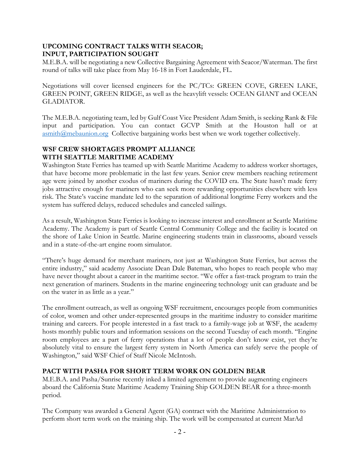## **UPCOMING CONTRACT TALKS WITH SEACOR; INPUT, PARTICIPATION SOUGHT**

M.E.B.A. will be negotiating a new Collective Bargaining Agreement with Seacor/Waterman. The first round of talks will take place from May 16-18 in Fort Lauderdale, FL.

Negotiations will cover licensed engineers for the PC/TCs: GREEN COVE, GREEN LAKE, GREEN POINT, GREEN RIDGE, as well as the heavylift vessels: OCEAN GIANT and OCEAN GLADIATOR.

The M.E.B.A. negotiating team, led by Gulf Coast Vice President Adam Smith, is seeking Rank & File input and participation. You can contact GCVP Smith at the Houston hall or at [asmith@mebaunion.org](mailto:asmith@mebaunion.org) Collective bargaining works best when we work together collectively.

## **WSF CREW SHORTAGES PROMPT ALLIANCE WITH SEATTLE MARITIME ACADEMY**

Washington State Ferries has teamed up with Seattle Maritime Academy to address worker shortages, that have become more problematic in the last few years. Senior crew members reaching retirement age were joined by another exodus of mariners during the COVID era. The State hasn't made ferry jobs attractive enough for mariners who can seek more rewarding opportunities elsewhere with less risk. The State's vaccine mandate led to the separation of additional longtime Ferry workers and the system has suffered delays, reduced schedules and canceled sailings.

As a result, Washington State Ferries is looking to increase interest and enrollment at Seattle Maritime Academy. The Academy is part of Seattle Central Community College and the facility is located on the shore of Lake Union in Seattle. Marine engineering students train in classrooms, aboard vessels and in a state-of-the-art engine room simulator.

"There's huge demand for merchant mariners, not just at Washington State Ferries, but across the entire industry," said academy Associate Dean Dale Bateman, who hopes to reach people who may have never thought about a career in the maritime sector. "We offer a fast-track program to train the next generation of mariners. Students in the marine engineering technology unit can graduate and be on the water in as little as a year."

The enrollment outreach, as well as ongoing WSF recruitment, encourages people from communities of color, women and other under-represented groups in the maritime industry to consider maritime training and careers. For people interested in a fast track to a family-wage job at WSF, the academy hosts monthly public tours and information sessions on the second Tuesday of each month. "Engine room employees are a part of ferry operations that a lot of people don't know exist, yet they're absolutely vital to ensure the largest ferry system in North America can safely serve the people of Washington," said WSF Chief of Staff Nicole McIntosh.

## **PACT WITH PASHA FOR SHORT TERM WORK ON GOLDEN BEAR**

M.E.B.A. and Pasha/Sunrise recently inked a limited agreement to provide augmenting engineers aboard the California State Maritime Academy Training Ship GOLDEN BEAR for a three-month period.

The Company was awarded a General Agent (GA) contract with the Maritime Administration to perform short term work on the training ship. The work will be compensated at current MarAd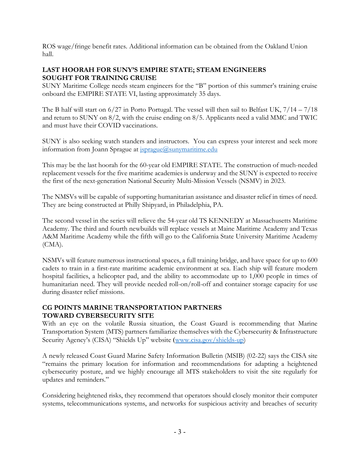ROS wage/fringe benefit rates. Additional information can be obtained from the Oakland Union hall.

### **LAST HOORAH FOR SUNY'S EMPIRE STATE; STEAM ENGINEERS SOUGHT FOR TRAINING CRUISE**

SUNY Maritime College needs steam engineers for the "B" portion of this summer's training cruise onboard the EMPIRE STATE VI, lasting approximately 35 days.

The B half will start on 6/27 in Porto Portugal. The vessel will then sail to Belfast UK, 7/14 – 7/18 and return to SUNY on 8/2, with the cruise ending on 8/5. Applicants need a valid MMC and TWIC and must have their COVID vaccinations.

SUNY is also seeking watch standers and instructors. You can express your interest and seek more information from Joann Sprague at *jsprague@sunymaritime.edu* 

This may be the last hoorah for the 60-year old EMPIRE STATE. The construction of much-needed replacement vessels for the five maritime academies is underway and the SUNY is expected to receive the first of the next-generation National Security Multi-Mission Vessels (NSMV) in 2023.

The NMSVs will be capable of supporting humanitarian assistance and disaster relief in times of need. They are being constructed at Philly Shipyard, in Philadelphia, PA.

The second vessel in the series will relieve the 54-year old TS KENNEDY at Massachusetts Maritime Academy. The third and fourth newbuilds will replace vessels at Maine Maritime Academy and Texas A&M Maritime Academy while the fifth will go to the California State University Maritime Academy (CMA).

NSMVs will feature numerous instructional spaces, a full training bridge, and have space for up to 600 cadets to train in a first-rate maritime academic environment at sea. Each ship will feature modern hospital facilities, a helicopter pad, and the ability to accommodate up to 1,000 people in times of humanitarian need. They will provide needed roll-on/roll-off and container storage capacity for use during disaster relief missions.

### **CG POINTS MARINE TRANSPORTATION PARTNERS TOWARD CYBERSECURITY SITE**

With an eye on the volatile Russia situation, the Coast Guard is recommending that Marine Transportation System (MTS) partners familiarize themselves with the Cybersecurity & Infrastructure Security Agency's (CISA) "Shields Up" website ([www.cisa.gov/shields-up\)](http://www.cisa.gov/shields-up)

A newly released Coast Guard Marine Safety Information Bulletin (MSIB) (02-22) says the CISA site "remains the primary location for information and recommendations for adapting a heightened cybersecurity posture, and we highly encourage all MTS stakeholders to visit the site regularly for updates and reminders."

Considering heightened risks, they recommend that operators should closely monitor their computer systems, telecommunications systems, and networks for suspicious activity and breaches of security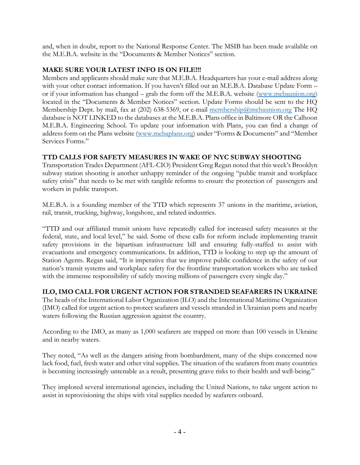and, when in doubt, report to the National Response Center. The MSIB has been made available on the M.E.B.A. website in the "Documents & Member Notices" section.

### **MAKE SURE YOUR LATEST INFO IS ON FILE!!!**

Members and applicants should make sure that M.E.B.A. Headquarters has your e-mail address along with your other contact information. If you haven't filled out an M.E.B.A. Database Update Form – or if your information has changed – grab the form off the M.E.B.A. website [\(www.mebaunion.org\)](http://www.mebaunion.org/) located in the "Documents & Member Notices" section. Update Forms should be sent to the HQ Membership Dept. by mail, fax at (202) 638-5369, or e-mail [membership@mebaunion.org](mailto:membership@mebaunion.org) The HQ database is NOT LINKED to the databases at the M.E.B.A. Plans office in Baltimore OR the Calhoon M.E.B.A. Engineering School. To update your information with Plans, you can find a change of address form on the Plans website [\(www.mebaplans.org\)](http://www.mebaplans.org/) under "Forms & Documents" and "Member Services Forms."

## **TTD CALLS FOR SAFETY MEASURES IN WAKE OF NYC SUBWAY SHOOTING**

Transportation Trades Department (AFL-CIO) President Greg Regan noted that this week's Brooklyn subway station shooting is another unhappy reminder of the ongoing "public transit and workplace safety crisis" that needs to be met with tangible reforms to ensure the protection of passengers and workers in public transport.

M.E.B.A. is a founding member of the TTD which represents 37 unions in the maritime, aviation, rail, transit, trucking, highway, longshore, and related industries.

"TTD and our affiliated transit unions have repeatedly called for increased safety measures at the federal, state, and local level," he said. Some of these calls for reform include implementing transit safety provisions in the bipartisan infrastructure bill and ensuring fully-staffed to assist with evacuations and emergency communications. In addition, TTD is looking to step up the amount of Station Agents. Regan said, "It is imperative that we improve public confidence in the safety of our nation's transit systems and workplace safety for the frontline transportation workers who are tasked with the immense responsibility of safely moving millions of passengers every single day."

## **ILO, IMO CALL FOR URGENT ACTION FOR STRANDED SEAFARERS IN UKRAINE**

The heads of the International Labor Organization (ILO) and the International Maritime Organization (IMO) called for urgent action to protect seafarers and vessels stranded in Ukrainian ports and nearby waters following the Russian aggression against the country.

According to the IMO, as many as 1,000 seafarers are trapped on more than 100 vessels in Ukraine and in nearby waters.

They noted, "As well as the dangers arising from bombardment, many of the ships concerned now lack food, fuel, fresh water and other vital supplies. The situation of the seafarers from many countries is becoming increasingly untenable as a result, presenting grave risks to their health and well-being."

They implored several international agencies, including the United Nations, to take urgent action to assist in reprovisioning the ships with vital supplies needed by seafarers onboard.